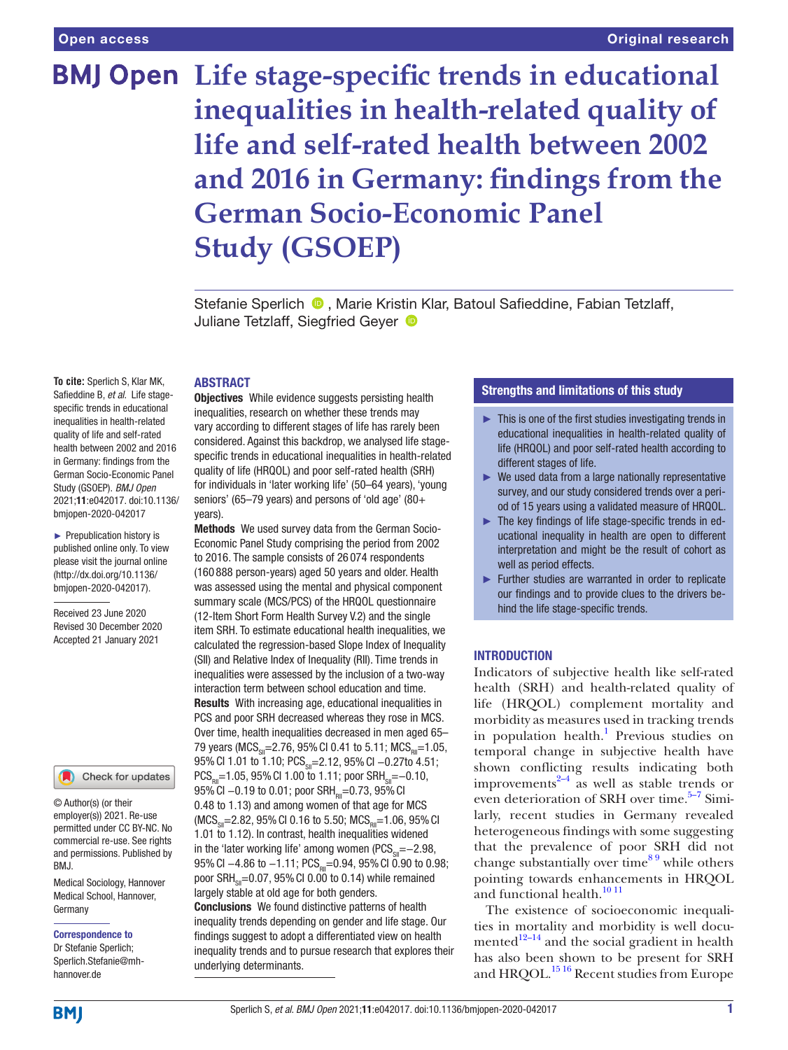# **BMJ Open** Life stage-specific trends in educational inequalities in health-related quality of **life and self- rated health between 2002 and 2016 in Germany: findings from the German Socio-Economic Panel Study (GSOEP)**

Stefanie Sperlich <sup>®</sup>, Marie Kristin Klar, Batoul Safieddine, Fabian Tetzlaff, Juliane Tetzlaff, Siegfried Geyer <sup>®</sup>

#### ABSTRACT

**To cite:** Sperlich S, Klar MK, Safieddine B, et al. Life stagespecific trends in educational inequalities in health-related quality of life and self-rated health between 2002 and 2016 in Germany: findings from the German Socio- Economic Panel Study (GSOEP). BMJ Open 2021;11:e042017. doi:10.1136/ bmjopen-2020-042017

► Prepublication history is published online only. To view please visit the journal online (http://dx.doi.org/10.1136/ bmjopen-2020-042017).

Received 23 June 2020 Revised 30 December 2020 Accepted 21 January 2021

# Check for updates

© Author(s) (or their employer(s)) 2021. Re-use permitted under CC BY-NC. No commercial re-use. See rights and permissions. Published by RM<sub>J</sub>

Medical Sociology, Hannover Medical School, Hannover, Germany

#### Correspondence to

Dr Stefanie Sperlich; Sperlich. Stefanie@ mhhannover. de

**Objectives** While evidence suggests persisting health inequalities, research on whether these trends may vary according to different stages of life has rarely been considered. Against this backdrop, we analysed life stagespecific trends in educational inequalities in health-related quality of life (HRQOL) and poor self- rated health (SRH) for individuals in 'later working life' (50–64 years), 'young seniors' (65–79 years) and persons of 'old age' (80+ years).

Methods We used survey data from the German Socio-Economic Panel Study comprising the period from 2002 to 2016. The sample consists of 26 074 respondents (160 888 person- years) aged 50 years and older. Health was assessed using the mental and physical component summary scale (MCS/PCS) of the HRQOL questionnaire (12- Item Short Form Health Survey V.2) and the single item SRH. To estimate educational health inequalities, we calculated the regression- based Slope Index of Inequality (SII) and Relative Index of Inequality (RII). Time trends in inequalities were assessed by the inclusion of a two-way interaction term between school education and time. Results With increasing age, educational inequalities in PCS and poor SRH decreased whereas they rose in MCS. Over time, health inequalities decreased in men aged 65– 79 years (MCS<sub>cil</sub>=2.76, 95% CI 0.41 to 5.11; MCS<sub>pil</sub>=1.05, 95% CI 1.01 to 1.10; PCS<sub>ci</sub>=2.12, 95% CI -0.27to 4.51;  $PCS<sub>on</sub>=1.05, 95% CI 1.00 to 1.11; poor SRH<sub>on</sub>=-0.10,$ 95% CI -0.19 to 0.01; poor SRH<sub>pu</sub>=0.73, 95% CI 0.48 to 1.13) and among women of that age for MCS  $(MCS_{\text{cm}}=2.82, 95\% \text{ CI } 0.16 \text{ to } 5.50; MCS_{\text{cm}}=1.06, 95\% \text{ CI}$ 1.01 to 1.12). In contrast, health inequalities widened in the 'later working life' among women ( $\text{PCS}_{\text{SI}}$ =−2.98, 95% CI  $-4.86$  to  $-1.11$ ; PCS<sub>pii</sub>=0.94, 95% CI 0.90 to 0.98; poor  $SRH_{\text{cm}}=0.07$ , 95% CI 0.00 to 0.14) while remained largely stable at old age for both genders.

Conclusions We found distinctive patterns of health inequality trends depending on gender and life stage. Our findings suggest to adopt a differentiated view on health inequality trends and to pursue research that explores their underlying determinants.

# Strengths and limitations of this study

- $\blacktriangleright$  This is one of the first studies investigating trends in educational inequalities in health-related quality of life (HRQOL) and poor self-rated health according to different stages of life.
- ► We used data from a large nationally representative survey, and our study considered trends over a period of 15 years using a validated measure of HRQOL.
- ► The key findings of life stage-specific trends in educational inequality in health are open to different interpretation and might be the result of cohort as well as period effects.
- ► Further studies are warranted in order to replicate our findings and to provide clues to the drivers behind the life stage-specific trends.

# **INTRODUCTION**

Indicators of subjective health like self-rated health (SRH) and health-related quality of life (HRQOL) complement mortality and morbidity as measures used in tracking trends in population health.<sup>1</sup> Previous studies on temporal change in subjective health have shown conflicting results indicating both improvements<sup>2–4</sup> as well as stable trends or even deterioration of SRH over time. $5-7$  Similarly, recent studies in Germany revealed heterogeneous findings with some suggesting that the prevalence of poor SRH did not change substantially over time<sup>89</sup> while others pointing towards enhancements in HRQOL and functional health.<sup>10 11</sup>

The existence of socioeconomic inequalities in mortality and morbidity is well documented $12-14$  and the social gradient in health has also been shown to be present for SRH and HRQOL.<sup>1516</sup> Recent studies from Europe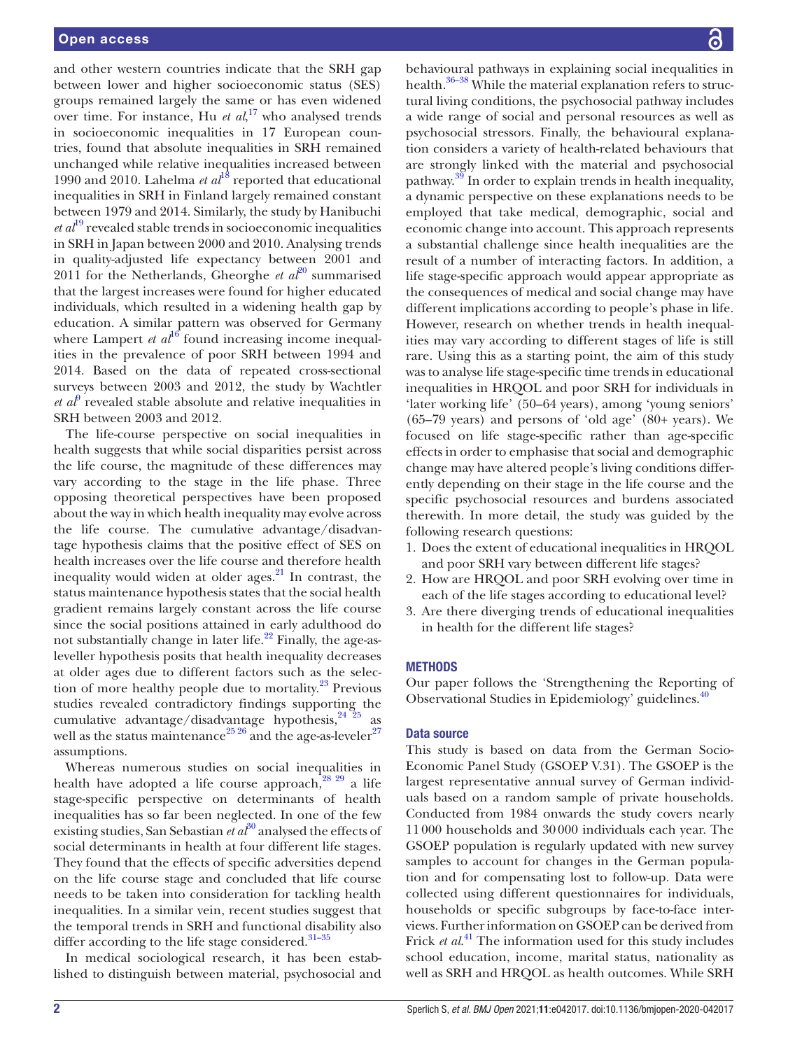and other western countries indicate that the SRH gap between lower and higher socioeconomic status (SES) groups remained largely the same or has even widened over time. For instance, Hu *et al*, <sup>17</sup> who analysed trends in socioeconomic inequalities in 17 European countries, found that absolute inequalities in SRH remained unchanged while relative inequalities increased between 1990 and 2010. Lahelma *et al*<sup>18</sup> reported that educational inequalities in SRH in Finland largely remained constant between 1979 and 2014. Similarly, the study by Hanibuchi  $et al<sup>19</sup> revealed stable trends in socioeconomic inequalities$ in SRH in Japan between 2000 and 2010. Analysing trends in quality-adjusted life expectancy between 2001 and 2011 for the Netherlands, Gheorghe *et al*<sup>20</sup> summarised that the largest increases were found for higher educated individuals, which resulted in a widening health gap by education. A similar pattern was observed for Germany where Lampert  $et al^{16}$  found increasing income inequalities in the prevalence of poor SRH between 1994 and 2014. Based on the data of repeated cross- sectional surveys between 2003 and 2012, the study by Wachtler  $et\ a^{\beta}$  revealed stable absolute and relative inequalities in SRH between 2003 and 2012.

The life-course perspective on social inequalities in health suggests that while social disparities persist across the life course, the magnitude of these differences may vary according to the stage in the life phase. Three opposing theoretical perspectives have been proposed about the way in which health inequality may evolve across the life course. The cumulative advantage/disadvantage hypothesis claims that the positive effect of SES on health increases over the life course and therefore health inequality would widen at older ages.<sup>21</sup> In contrast, the status maintenance hypothesis states that the social health gradient remains largely constant across the life course since the social positions attained in early adulthood do not substantially change in later life. $^{22}$  Finally, the age-asleveller hypothesis posits that health inequality decreases at older ages due to different factors such as the selection of more healthy people due to mortality. $^{23}$  Previous studies revealed contradictory findings supporting the cumulative advantage/disadvantage hypothesis,<sup>24 25</sup> as well as the status maintenance<sup>25 26</sup> and the age-as-leveler<sup>27</sup> assumptions.

Whereas numerous studies on social inequalities in health have adopted a life course approach, $28^{29}$  a life stage- specific perspective on determinants of health inequalities has so far been neglected. In one of the few existing studies, San Sebastian *et*  $a\bar{t}^{30}$  analysed the effects of social determinants in health at four different life stages. They found that the effects of specific adversities depend on the life course stage and concluded that life course needs to be taken into consideration for tackling health inequalities. In a similar vein, recent studies suggest that the temporal trends in SRH and functional disability also differ according to the life stage considered.<sup>31-35</sup>

In medical sociological research, it has been established to distinguish between material, psychosocial and

behavioural pathways in explaining social inequalities in health.<sup>36–38</sup> While the material explanation refers to structural living conditions, the psychosocial pathway includes a wide range of social and personal resources as well as psychosocial stressors. Finally, the behavioural explanation considers a variety of health-related behaviours that are strongly linked with the material and psychosocial pathway. $3\frac{3}{9}$  In order to explain trends in health inequality, a dynamic perspective on these explanations needs to be employed that take medical, demographic, social and economic change into account. This approach represents a substantial challenge since health inequalities are the result of a number of interacting factors. In addition, a life stage- specific approach would appear appropriate as the consequences of medical and social change may have different implications according to people's phase in life. However, research on whether trends in health inequalities may vary according to different stages of life is still rare. Using this as a starting point, the aim of this study was to analyse life stage-specific time trends in educational inequalities in HRQOL and poor SRH for individuals in 'later working life' (50–64 years), among 'young seniors' (65–79 years) and persons of 'old age' (80+ years). We focused on life stage-specific rather than age-specific effects in order to emphasise that social and demographic change may have altered people's living conditions differently depending on their stage in the life course and the specific psychosocial resources and burdens associated therewith. In more detail, the study was guided by the following research questions:

- 1. Does the extent of educational inequalities in HRQOL and poor SRH vary between different life stages?
- 2. How are HRQOL and poor SRH evolving over time in each of the life stages according to educational level?
- 3. Are there diverging trends of educational inequalities in health for the different life stages?

#### METHODS

Our paper follows the 'Strengthening the Reporting of Observational Studies in Epidemiology' guidelines.<sup>40</sup>

#### Data source

This study is based on data from the German Socio-Economic Panel Study (GSOEP V.31). The GSOEP is the largest representative annual survey of German individuals based on a random sample of private households. Conducted from 1984 onwards the study covers nearly 11 000 households and 30 000 individuals each year. The GSOEP population is regularly updated with new survey samples to account for changes in the German population and for compensating lost to follow-up. Data were collected using different questionnaires for individuals, households or specific subgroups by face-to-face interviews. Further information on GSOEP can be derived from Frick *et al.*<sup>41</sup> The information used for this study includes school education, income, marital status, nationality as well as SRH and HRQOL as health outcomes. While SRH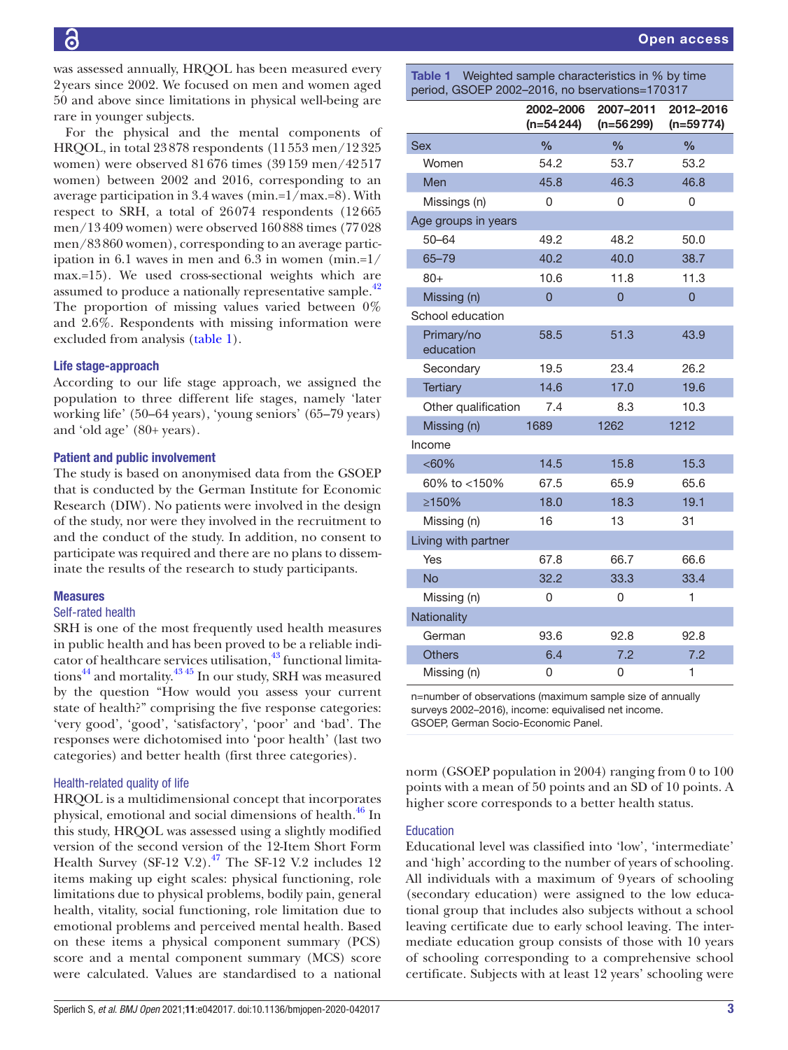was assessed annually, HRQOL has been measured every 2 years since 2002. We focused on men and women aged 50 and above since limitations in physical well- being are rare in younger subjects.

For the physical and the mental components of HRQOL, in total 23 878 respondents (11 553 men/12 325 women) were observed 81 676 times (39 159 men/42 517 women) between 2002 and 2016, corresponding to an average participation in 3.4 waves (min.=1/max.=8). With respect to SRH, a total of 26 074 respondents (12 665 men/13 409 women) were observed 160 888 times (77 028 men/83 860 women), corresponding to an average participation in 6.1 waves in men and 6.3 in women (min.=1/ max.=15). We used cross-sectional weights which are assumed to produce a nationally representative sample.<sup>42</sup> The proportion of missing values varied between 0% and 2.6%. Respondents with missing information were excluded from analysis (table 1).

#### Life stage-approach

According to our life stage approach, we assigned the population to three different life stages, namely 'later working life' (50–64 years), 'young seniors' (65–79 years) and 'old age' (80+ years).

#### Patient and public involvement

The study is based on anonymised data from the GSOEP that is conducted by the German Institute for Economic Research (DIW). No patients were involved in the design of the study, nor were they involved in the recruitment to and the conduct of the study. In addition, no consent to participate was required and there are no plans to disseminate the results of the research to study participants.

#### Measures

#### Self-rated health

SRH is one of the most frequently used health measures in public health and has been proved to be a reliable indicator of healthcare services utilisation,  $43$  functional limitations<sup>44</sup> and mortality.<sup>43 45</sup> In our study, SRH was measured by the question "How would you assess your current state of health?" comprising the five response categories: 'very good', 'good', 'satisfactory', 'poor' and 'bad'. The responses were dichotomised into 'poor health' (last two categories) and better health (first three categories).

### Health-related quality of life

HRQOL is a multidimensional concept that incorporates physical, emotional and social dimensions of health.<sup>46</sup> In this study, HRQOL was assessed using a slightly modified version of the second version of the 12-Item Short Form Health Survey (SF-12 V.2). $^{47}$  The SF-12 V.2 includes 12 items making up eight scales: physical functioning, role limitations due to physical problems, bodily pain, general health, vitality, social functioning, role limitation due to emotional problems and perceived mental health. Based on these items a physical component summary (PCS) score and a mental component summary (MCS) score were calculated. Values are standardised to a national

Table 1 Weighted sample characteristics in % by time period, GSOEP 2002–2016, no bservations=170 317

| $   -$                  | 2002-2006<br>$(n=54244)$ | 2007-2011<br>$(n=56299)$ | 2012-2016<br>$(n=59774)$ |
|-------------------------|--------------------------|--------------------------|--------------------------|
| <b>Sex</b>              | $\frac{0}{0}$            | $\frac{0}{0}$            | $\frac{0}{0}$            |
| Women                   | 54.2                     | 53.7                     | 53.2                     |
| Men                     | 45.8                     | 46.3                     | 46.8                     |
| Missings (n)            | 0                        | 0                        | 0                        |
| Age groups in years     |                          |                          |                          |
| $50 - 64$               | 49.2                     | 48.2                     | 50.0                     |
| $65 - 79$               | 40.2                     | 40.0                     | 38.7                     |
| $80+$                   | 10.6                     | 11.8                     | 11.3                     |
| Missing (n)             | $\overline{0}$           | $\overline{0}$           | $\overline{0}$           |
| School education        |                          |                          |                          |
| Primary/no<br>education | 58.5                     | 51.3                     | 43.9                     |
| Secondary               | 19.5                     | 23.4                     | 26.2                     |
| Tertiary                | 14.6                     | 17.0                     | 19.6                     |
| Other qualification     | 7.4                      | 8.3                      | 10.3                     |
| Missing (n)             | 1689                     | 1262                     | 1212                     |
| Income                  |                          |                          |                          |
| $<60\%$                 | 14.5                     | 15.8                     | 15.3                     |
| 60% to <150%            | 67.5                     | 65.9                     | 65.6                     |
| ≥150%                   | 18.0                     | 18.3                     | 19.1                     |
| Missing (n)             | 16                       | 13                       | 31                       |
| Living with partner     |                          |                          |                          |
| Yes                     | 67.8                     | 66.7                     | 66.6                     |
| <b>No</b>               | 32.2                     | 33.3                     | 33.4                     |
| Missing (n)             | 0                        | 0                        | 1                        |
| Nationality             |                          |                          |                          |
| German                  | 93.6                     | 92.8                     | 92.8                     |
| <b>Others</b>           | 6.4                      | 7.2                      | 7.2                      |
| Missing (n)             | 0                        | 0                        | 1                        |

n=number of observations (maximum sample size of annually surveys 2002–2016), income: equivalised net income. GSOEP, German Socio-Economic Panel.

norm (GSOEP population in 2004) ranging from 0 to 100 points with a mean of 50 points and an SD of 10 points. A higher score corresponds to a better health status.

#### Education

Educational level was classified into 'low', 'intermediate' and 'high' according to the number of years of schooling. All individuals with a maximum of 9 years of schooling (secondary education) were assigned to the low educational group that includes also subjects without a school leaving certificate due to early school leaving. The intermediate education group consists of those with 10 years of schooling corresponding to a comprehensive school certificate. Subjects with at least 12 years' schooling were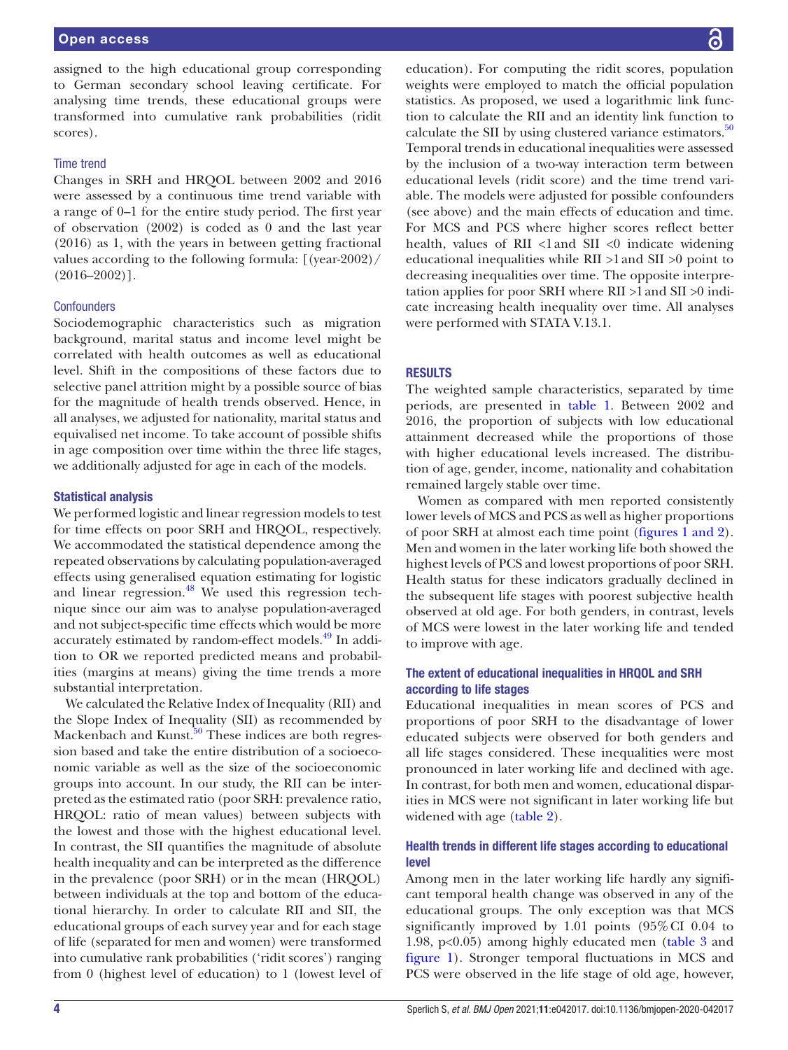assigned to the high educational group corresponding to German secondary school leaving certificate. For analysing time trends, these educational groups were transformed into cumulative rank probabilities (ridit scores).

#### Time trend

Changes in SRH and HRQOL between 2002 and 2016 were assessed by a continuous time trend variable with a range of 0–1 for the entire study period. The first year of observation (2002) is coded as 0 and the last year (2016) as 1, with the years in between getting fractional values according to the following formula: [(year-2002)/  $(2016 - 2002)$ ].

#### **Confounders**

Sociodemographic characteristics such as migration background, marital status and income level might be correlated with health outcomes as well as educational level. Shift in the compositions of these factors due to selective panel attrition might by a possible source of bias for the magnitude of health trends observed. Hence, in all analyses, we adjusted for nationality, marital status and equivalised net income. To take account of possible shifts in age composition over time within the three life stages, we additionally adjusted for age in each of the models.

#### Statistical analysis

We performed logistic and linear regression models to test for time effects on poor SRH and HRQOL, respectively. We accommodated the statistical dependence among the repeated observations by calculating population- averaged effects using generalised equation estimating for logistic and linear regression. $48$  We used this regression technique since our aim was to analyse population-averaged and not subject-specific time effects which would be more accurately estimated by random-effect models.<sup>49</sup> In addition to OR we reported predicted means and probabilities (margins at means) giving the time trends a more substantial interpretation.

We calculated the Relative Index of Inequality (RII) and the Slope Index of Inequality (SII) as recommended by Mackenbach and Kunst.<sup>50</sup> These indices are both regression based and take the entire distribution of a socioeconomic variable as well as the size of the socioeconomic groups into account. In our study, the RII can be interpreted as the estimated ratio (poor SRH: prevalence ratio, HRQOL: ratio of mean values) between subjects with the lowest and those with the highest educational level. In contrast, the SII quantifies the magnitude of absolute health inequality and can be interpreted as the difference in the prevalence (poor SRH) or in the mean (HRQOL) between individuals at the top and bottom of the educational hierarchy. In order to calculate RII and SII, the educational groups of each survey year and for each stage of life (separated for men and women) were transformed into cumulative rank probabilities ('ridit scores') ranging from 0 (highest level of education) to 1 (lowest level of

education). For computing the ridit scores, population weights were employed to match the official population statistics. As proposed, we used a logarithmic link function to calculate the RII and an identity link function to calculate the SII by using clustered variance estimators. $50$ Temporal trends in educational inequalities were assessed by the inclusion of a two-way interaction term between educational levels (ridit score) and the time trend variable. The models were adjusted for possible confounders (see above) and the main effects of education and time. For MCS and PCS where higher scores reflect better health, values of RII  $\langle$ 1 and SII  $\langle$ 0 indicate widening educational inequalities while RII >1 and SII >0 point to decreasing inequalities over time. The opposite interpretation applies for poor SRH where RII >1 and SII >0 indicate increasing health inequality over time. All analyses were performed with STATA V.13.1.

#### **RESULTS**

The weighted sample characteristics, separated by time periods, are presented in table 1. Between 2002 and 2016, the proportion of subjects with low educational attainment decreased while the proportions of those with higher educational levels increased. The distribution of age, gender, income, nationality and cohabitation remained largely stable over time.

Women as compared with men reported consistently lower levels of MCS and PCS as well as higher proportions of poor SRH at almost each time point (figures 1 and 2). Men and women in the later working life both showed the highest levels of PCS and lowest proportions of poor SRH. Health status for these indicators gradually declined in the subsequent life stages with poorest subjective health observed at old age. For both genders, in contrast, levels of MCS were lowest in the later working life and tended to improve with age.

#### The extent of educational inequalities in HRQOL and SRH according to life stages

Educational inequalities in mean scores of PCS and proportions of poor SRH to the disadvantage of lower educated subjects were observed for both genders and all life stages considered. These inequalities were most pronounced in later working life and declined with age. In contrast, for both men and women, educational disparities in MCS were not significant in later working life but widened with age (table 2).

## Health trends in different life stages according to educational level

Among men in the later working life hardly any significant temporal health change was observed in any of the educational groups. The only exception was that MCS significantly improved by 1.01 points (95% CI 0.04 to 1.98, p<0.05) among highly educated men (table 3 and figure 1). Stronger temporal fluctuations in MCS and PCS were observed in the life stage of old age, however,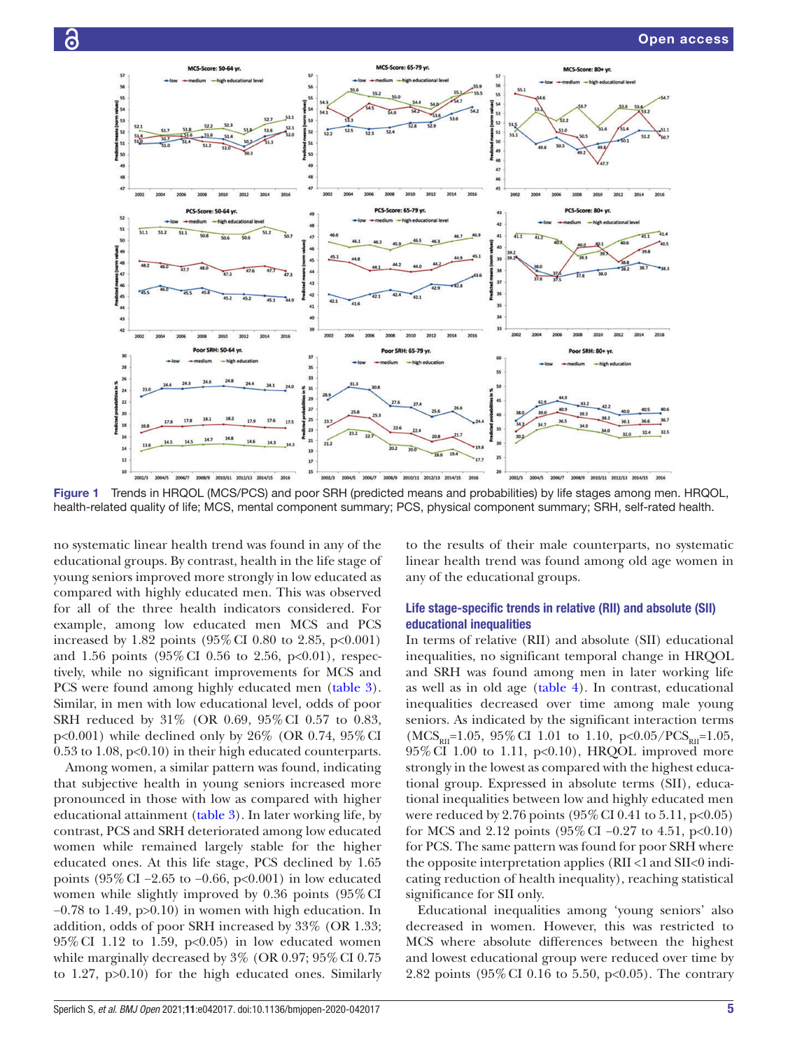

Figure 1 Trends in HRQOL (MCS/PCS) and poor SRH (predicted means and probabilities) by life stages among men. HRQOL, health-related quality of life; MCS, mental component summary; PCS, physical component summary; SRH, self-rated health.

no systematic linear health trend was found in any of the educational groups. By contrast, health in the life stage of young seniors improved more strongly in low educated as compared with highly educated men. This was observed for all of the three health indicators considered. For example, among low educated men MCS and PCS increased by 1.82 points  $(95\% \text{ CI } 0.80 \text{ to } 2.85, \text{ p} < 0.001)$ and 1.56 points  $(95\% \text{ CI } 0.56 \text{ to } 2.56, \text{ p} < 0.01)$ , respectively, while no significant improvements for MCS and PCS were found among highly educated men (table 3). Similar, in men with low educational level, odds of poor SRH reduced by 31% (OR 0.69, 95% CI 0.57 to 0.83, p<0.001) while declined only by 26% (OR 0.74, 95% CI  $0.53$  to 1.08,  $p<0.10$  in their high educated counterparts.

ခြ

Among women, a similar pattern was found, indicating that subjective health in young seniors increased more pronounced in those with low as compared with higher educational attainment (table 3). In later working life, by contrast, PCS and SRH deteriorated among low educated women while remained largely stable for the higher educated ones. At this life stage, PCS declined by 1.65 points (95% CI −2.65 to −0.66, p<0.001) in low educated women while slightly improved by 0.36 points (95% CI −0.78 to 1.49, p>0.10) in women with high education. In addition, odds of poor SRH increased by 33% (OR 1.33;  $95\%$  CI 1.12 to 1.59, p<0.05) in low educated women while marginally decreased by 3% (OR 0.97; 95% CI 0.75 to 1.27, p>0.10) for the high educated ones. Similarly

to the results of their male counterparts, no systematic linear health trend was found among old age women in any of the educational groups.

# Life stage-specific trends in relative (RII) and absolute (SII) educational inequalities

In terms of relative (RII) and absolute (SII) educational inequalities, no significant temporal change in HRQOL and SRH was found among men in later working life as well as in old age (table 4). In contrast, educational inequalities decreased over time among male young seniors. As indicated by the significant interaction terms  $(MCS<sub>RH</sub>=1.05, 95\% CI 1.01$  to 1.10, p<0.05/PCS<sub>RII</sub>=1.05, 95% CI 1.00 to 1.11, p<0.10), HRQOL improved more strongly in the lowest as compared with the highest educational group. Expressed in absolute terms (SII), educational inequalities between low and highly educated men were reduced by 2.76 points  $(95\% \text{ CI } 0.41 \text{ to } 5.11, \text{ p} < 0.05)$ for MCS and 2.12 points  $(95\% \text{ CI} - 0.27 \text{ to } 4.51, \text{ p} < 0.10)$ for PCS. The same pattern was found for poor SRH where the opposite interpretation applies (RII <1 and SII<0 indicating reduction of health inequality), reaching statistical significance for SII only.

Educational inequalities among 'young seniors' also decreased in women. However, this was restricted to MCS where absolute differences between the highest and lowest educational group were reduced over time by 2.82 points (95% CI 0.16 to 5.50, p<0.05). The contrary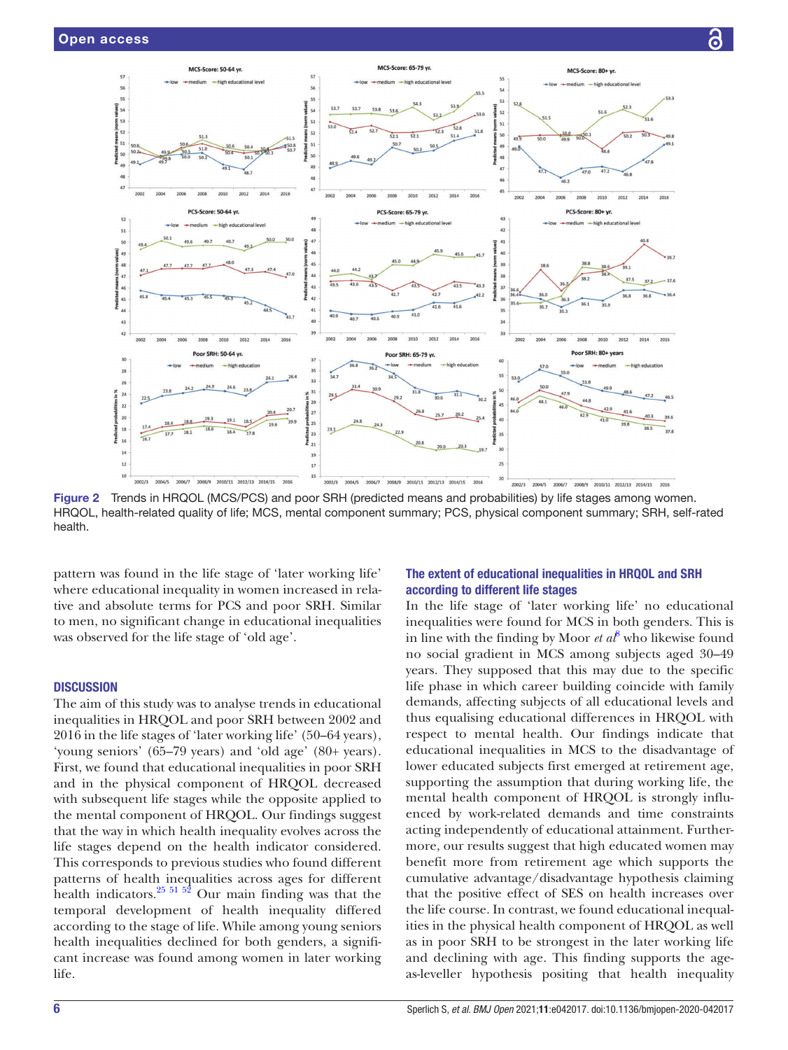

Figure 2 Trends in HRQOL (MCS/PCS) and poor SRH (predicted means and probabilities) by life stages among women. HRQOL, health-related quality of life; MCS, mental component summary; PCS, physical component summary; SRH, self-rated health.

pattern was found in the life stage of 'later working life' where educational inequality in women increased in relative and absolute terms for PCS and poor SRH. Similar to men, no significant change in educational inequalities was observed for the life stage of 'old age'.

#### **DISCUSSION**

The aim of this study was to analyse trends in educational inequalities in HRQOL and poor SRH between 2002 and 2016 in the life stages of 'later working life' (50–64 years), 'young seniors' (65–79 years) and 'old age' (80+ years). First, we found that educational inequalities in poor SRH and in the physical component of HRQOL decreased with subsequent life stages while the opposite applied to the mental component of HRQOL. Our findings suggest that the way in which health inequality evolves across the life stages depend on the health indicator considered. This corresponds to previous studies who found different patterns of health inequalities across ages for different health indicators. $25 \times 51 \times 52$  Our main finding was that the temporal development of health inequality differed according to the stage of life. While among young seniors health inequalities declined for both genders, a significant increase was found among women in later working life.

# The extent of educational inequalities in HRQOL and SRH according to different life stages

In the life stage of 'later working life' no educational inequalities were found for MCS in both genders. This is in line with the finding by Moor  $et\ a^{\beta}$  who likewise found no social gradient in MCS among subjects aged 30–49 years. They supposed that this may due to the specific life phase in which career building coincide with family demands, affecting subjects of all educational levels and thus equalising educational differences in HRQOL with respect to mental health. Our findings indicate that educational inequalities in MCS to the disadvantage of lower educated subjects first emerged at retirement age, supporting the assumption that during working life, the mental health component of HRQOL is strongly influenced by work- related demands and time constraints acting independently of educational attainment. Furthermore, our results suggest that high educated women may benefit more from retirement age which supports the cumulative advantage/disadvantage hypothesis claiming that the positive effect of SES on health increases over the life course. In contrast, we found educational inequalities in the physical health component of HRQOL as well as in poor SRH to be strongest in the later working life and declining with age. This finding supports the ageas- leveller hypothesis positing that health inequality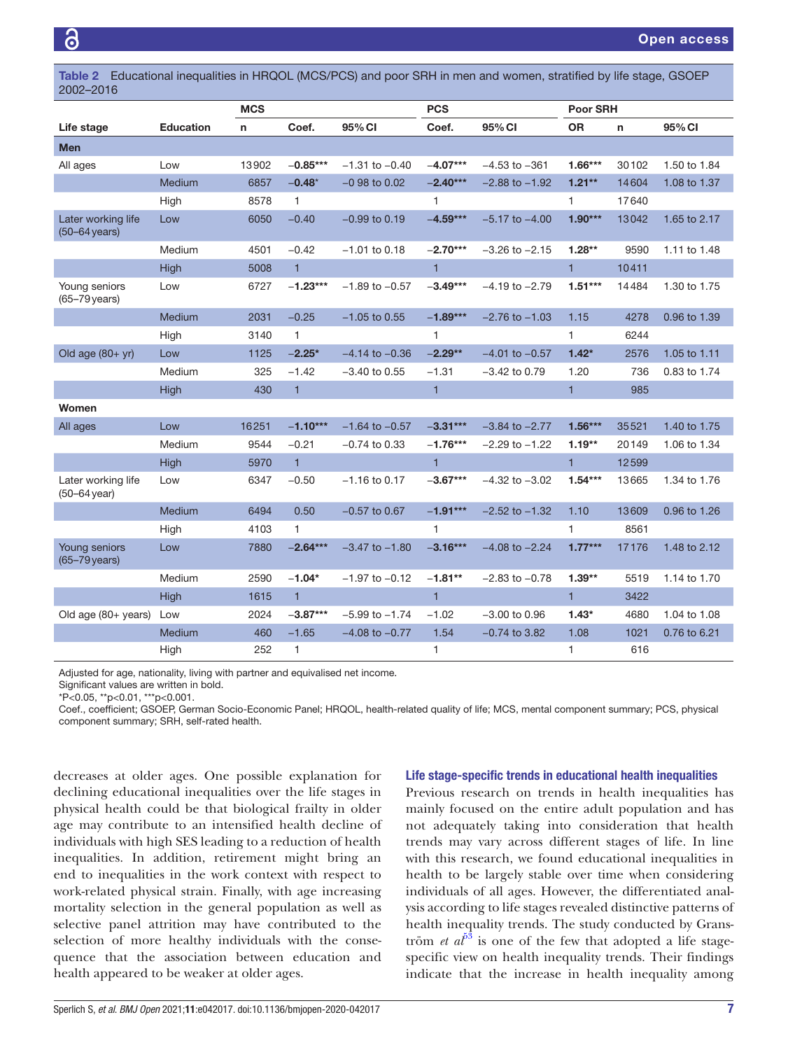Table 2 Educational inequalities in HRQOL (MCS/PCS) and poor SRH in men and women, stratified by life stage, GSOEP 2002–2016

|                                               |                  | <b>MCS</b> |              | <b>PCS</b>         |              | Poor SRH           |              |       |              |
|-----------------------------------------------|------------------|------------|--------------|--------------------|--------------|--------------------|--------------|-------|--------------|
| Life stage                                    | <b>Education</b> | n          | Coef.        | 95% CI             | Coef.        | 95% CI             | <b>OR</b>    | n     | 95% CI       |
| <b>Men</b>                                    |                  |            |              |                    |              |                    |              |       |              |
| All ages                                      | Low              | 13902      | $-0.85***$   | $-1.31$ to $-0.40$ | $-4.07***$   | $-4.53$ to $-361$  | $1.66***$    | 30102 | 1.50 to 1.84 |
|                                               | Medium           | 6857       | $-0.48*$     | $-0.98$ to $0.02$  | $-2.40***$   | $-2.88$ to $-1.92$ | $1.21**$     | 14604 | 1.08 to 1.37 |
|                                               | High             | 8578       | $\mathbf{1}$ |                    | $\mathbf{1}$ |                    | $\mathbf{1}$ | 17640 |              |
| Later working life<br>$(50-64 \text{ years})$ | Low              | 6050       | $-0.40$      | $-0.99$ to 0.19    | $-4.59***$   | $-5.17$ to $-4.00$ | $1.90***$    | 13042 | 1.65 to 2.17 |
|                                               | Medium           | 4501       | $-0.42$      | $-1.01$ to 0.18    | $-2.70***$   | $-3.26$ to $-2.15$ | $1.28**$     | 9590  | 1.11 to 1.48 |
|                                               | High             | 5008       | $\mathbf{1}$ |                    | $\mathbf{1}$ |                    | $\mathbf{1}$ | 10411 |              |
| Young seniors<br>$(65-79$ years)              | Low              | 6727       | $-1.23***$   | $-1.89$ to $-0.57$ | $-3.49***$   | $-4.19$ to $-2.79$ | $1.51***$    | 14484 | 1.30 to 1.75 |
|                                               | Medium           | 2031       | $-0.25$      | $-1.05$ to 0.55    | $-1.89***$   | $-2.76$ to $-1.03$ | 1.15         | 4278  | 0.96 to 1.39 |
|                                               | High             | 3140       | $\mathbf{1}$ |                    | 1            |                    | 1            | 6244  |              |
| Old age $(80 + yr)$                           | Low              | 1125       | $-2.25*$     | $-4.14$ to $-0.36$ | $-2.29**$    | $-4.01$ to $-0.57$ | $1.42*$      | 2576  | 1.05 to 1.11 |
|                                               | Medium           | 325        | $-1.42$      | $-3.40$ to 0.55    | $-1.31$      | $-3.42$ to 0.79    | 1.20         | 736   | 0.83 to 1.74 |
|                                               | High             | 430        | $\mathbf{1}$ |                    | $\mathbf{1}$ |                    | $\mathbf{1}$ | 985   |              |
| Women                                         |                  |            |              |                    |              |                    |              |       |              |
| All ages                                      | Low              | 16251      | $-1.10***$   | $-1.64$ to $-0.57$ | $-3.31***$   | $-3.84$ to $-2.77$ | $1.56***$    | 35521 | 1.40 to 1.75 |
|                                               | Medium           | 9544       | $-0.21$      | $-0.74$ to 0.33    | $-1.76***$   | $-2.29$ to $-1.22$ | $1.19**$     | 20149 | 1.06 to 1.34 |
|                                               | High             | 5970       | $\mathbf{1}$ |                    | $\mathbf{1}$ |                    | $\mathbf{1}$ | 12599 |              |
| Later working life<br>$(50 - 64$ year)        | Low              | 6347       | $-0.50$      | $-1.16$ to 0.17    | $-3.67***$   | $-4.32$ to $-3.02$ | $1.54***$    | 13665 | 1.34 to 1.76 |
|                                               | Medium           | 6494       | 0.50         | $-0.57$ to 0.67    | $-1.91***$   | $-2.52$ to $-1.32$ | 1.10         | 13609 | 0.96 to 1.26 |
|                                               | High             | 4103       | $\mathbf{1}$ |                    | $\mathbf{1}$ |                    | 1            | 8561  |              |
| Young seniors<br>$(65-79 \text{ years})$      | Low              | 7880       | $-2.64***$   | $-3.47$ to $-1.80$ | $-3.16***$   | $-4.08$ to $-2.24$ | $1.77***$    | 17176 | 1.48 to 2.12 |
|                                               | Medium           | 2590       | $-1.04*$     | $-1.97$ to $-0.12$ | $-1.81**$    | $-2.83$ to $-0.78$ | $1.39**$     | 5519  | 1.14 to 1.70 |
|                                               | High             | 1615       | $\mathbf{1}$ |                    | $\mathbf{1}$ |                    | $\mathbf{1}$ | 3422  |              |
| Old age (80+ years)                           | Low              | 2024       | $-3.87***$   | $-5.99$ to $-1.74$ | $-1.02$      | $-3.00$ to $0.96$  | $1.43*$      | 4680  | 1.04 to 1.08 |
|                                               | Medium           | 460        | $-1.65$      | $-4.08$ to $-0.77$ | 1.54         | $-0.74$ to 3.82    | 1.08         | 1021  | 0.76 to 6.21 |
|                                               | High             | 252        | $\mathbf{1}$ |                    | 1            |                    | 1            | 616   |              |

Adjusted for age, nationality, living with partner and equivalised net income.

Significant values are written in bold.

\*P<0.05, \*\*p<0.01, \*\*\*p<0.001.

Coef., coefficient; GSOEP, German Socio- Economic Panel; HRQOL, health- related quality of life; MCS, mental component summary; PCS, physical component summary; SRH, self-rated health.

decreases at older ages. One possible explanation for declining educational inequalities over the life stages in physical health could be that biological frailty in older age may contribute to an intensified health decline of individuals with high SES leading to a reduction of health inequalities. In addition, retirement might bring an end to inequalities in the work context with respect to work- related physical strain. Finally, with age increasing mortality selection in the general population as well as selective panel attrition may have contributed to the selection of more healthy individuals with the consequence that the association between education and health appeared to be weaker at older ages.

#### Life stage-specific trends in educational health inequalities

Previous research on trends in health inequalities has mainly focused on the entire adult population and has not adequately taking into consideration that health trends may vary across different stages of life. In line with this research, we found educational inequalities in health to be largely stable over time when considering individuals of all ages. However, the differentiated analysis according to life stages revealed distinctive patterns of health inequality trends. The study conducted by Granström *et a* $\ell^{53}$  is one of the few that adopted a life stagespecific view on health inequality trends. Their findings indicate that the increase in health inequality among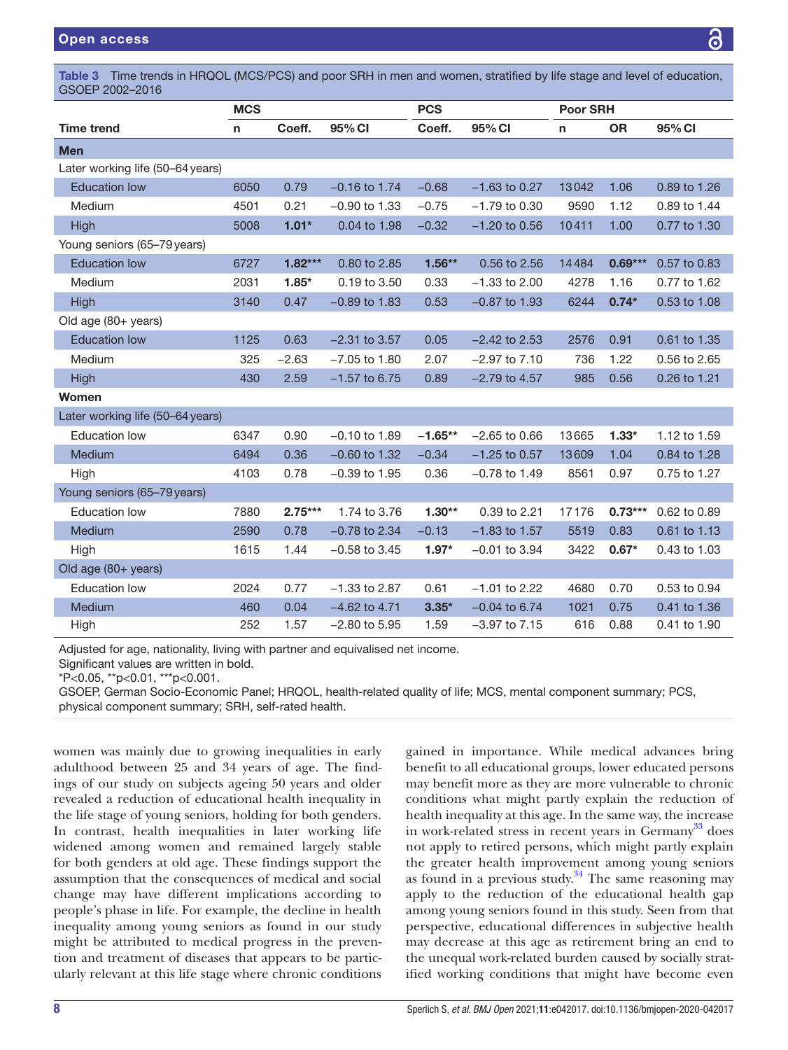Table 3 Time trends in HRQOL (MCS/PCS) and poor SRH in men and women, stratified by life stage and level of education, GSOEP 2002–2016

|                                  | <b>MCS</b> |           |                 | <b>PCS</b> |                   | <b>Poor SRH</b> |           |              |  |
|----------------------------------|------------|-----------|-----------------|------------|-------------------|-----------------|-----------|--------------|--|
| <b>Time trend</b>                | n          | Coeff.    | 95% CI          | Coeff.     | 95% CI            | n               | <b>OR</b> | 95% CI       |  |
| <b>Men</b>                       |            |           |                 |            |                   |                 |           |              |  |
| Later working life (50-64 years) |            |           |                 |            |                   |                 |           |              |  |
| <b>Education low</b>             | 6050       | 0.79      | $-0.16$ to 1.74 | $-0.68$    | $-1.63$ to 0.27   | 13042           | 1.06      | 0.89 to 1.26 |  |
| Medium                           | 4501       | 0.21      | $-0.90$ to 1.33 | $-0.75$    | $-1.79$ to 0.30   | 9590            | 1.12      | 0.89 to 1.44 |  |
| <b>High</b>                      | 5008       | $1.01*$   | 0.04 to 1.98    | $-0.32$    | $-1.20$ to 0.56   | 10411           | 1.00      | 0.77 to 1.30 |  |
| Young seniors (65-79 years)      |            |           |                 |            |                   |                 |           |              |  |
| <b>Education low</b>             | 6727       | $1.82***$ | 0.80 to 2.85    | $1.56**$   | 0.56 to 2.56      | 14484           | $0.69***$ | 0.57 to 0.83 |  |
| Medium                           | 2031       | $1.85*$   | 0.19 to 3.50    | 0.33       | $-1.33$ to 2.00   | 4278            | 1.16      | 0.77 to 1.62 |  |
| High                             | 3140       | 0.47      | $-0.89$ to 1.83 | 0.53       | $-0.87$ to 1.93   | 6244            | $0.74*$   | 0.53 to 1.08 |  |
| Old age (80+ years)              |            |           |                 |            |                   |                 |           |              |  |
| <b>Education low</b>             | 1125       | 0.63      | $-2.31$ to 3.57 | 0.05       | $-2.42$ to 2.53   | 2576            | 0.91      | 0.61 to 1.35 |  |
| <b>Medium</b>                    | 325        | $-2.63$   | $-7.05$ to 1.80 | 2.07       | $-2.97$ to $7.10$ | 736             | 1.22      | 0.56 to 2.65 |  |
| <b>High</b>                      | 430        | 2.59      | $-1.57$ to 6.75 | 0.89       | $-2.79$ to 4.57   | 985             | 0.56      | 0.26 to 1.21 |  |
| Women                            |            |           |                 |            |                   |                 |           |              |  |
| Later working life (50-64 years) |            |           |                 |            |                   |                 |           |              |  |
| <b>Education low</b>             | 6347       | 0.90      | $-0.10$ to 1.89 | $-1.65**$  | $-2.65$ to 0.66   | 13665           | $1.33*$   | 1.12 to 1.59 |  |
| Medium                           | 6494       | 0.36      | $-0.60$ to 1.32 | $-0.34$    | $-1.25$ to 0.57   | 13609           | 1.04      | 0.84 to 1.28 |  |
| High                             | 4103       | 0.78      | $-0.39$ to 1.95 | 0.36       | $-0.78$ to 1.49   | 8561            | 0.97      | 0.75 to 1.27 |  |
| Young seniors (65-79 years)      |            |           |                 |            |                   |                 |           |              |  |
| <b>Education low</b>             | 7880       | $2.75***$ | 1.74 to 3.76    | $1.30**$   | 0.39 to 2.21      | 17176           | $0.73***$ | 0.62 to 0.89 |  |
| Medium                           | 2590       | 0.78      | $-0.78$ to 2.34 | $-0.13$    | $-1.83$ to 1.57   | 5519            | 0.83      | 0.61 to 1.13 |  |
| High                             | 1615       | 1.44      | $-0.58$ to 3.45 | $1.97*$    | $-0.01$ to 3.94   | 3422            | $0.67*$   | 0.43 to 1.03 |  |
| Old age (80+ years)              |            |           |                 |            |                   |                 |           |              |  |
| <b>Education low</b>             | 2024       | 0.77      | $-1.33$ to 2.87 | 0.61       | $-1.01$ to 2.22   | 4680            | 0.70      | 0.53 to 0.94 |  |
| Medium                           | 460        | 0.04      | $-4.62$ to 4.71 | $3.35*$    | $-0.04$ to 6.74   | 1021            | 0.75      | 0.41 to 1.36 |  |
| High                             | 252        | 1.57      | $-2.80$ to 5.95 | 1.59       | $-3.97$ to $7.15$ | 616             | 0.88      | 0.41 to 1.90 |  |

Adjusted for age, nationality, living with partner and equivalised net income.

Significant values are written in bold.

\*P<0.05, \*\*p<0.01, \*\*\*p<0.001.

GSOEP, German Socio-Economic Panel; HRQOL, health-related quality of life; MCS, mental component summary; PCS, physical component summary; SRH, self-rated health.

women was mainly due to growing inequalities in early adulthood between 25 and 34 years of age. The findings of our study on subjects ageing 50 years and older revealed a reduction of educational health inequality in the life stage of young seniors, holding for both genders. In contrast, health inequalities in later working life widened among women and remained largely stable for both genders at old age. These findings support the assumption that the consequences of medical and social change may have different implications according to people's phase in life. For example, the decline in health inequality among young seniors as found in our study might be attributed to medical progress in the prevention and treatment of diseases that appears to be particularly relevant at this life stage where chronic conditions

gained in importance. While medical advances bring benefit to all educational groups, lower educated persons may benefit more as they are more vulnerable to chronic conditions what might partly explain the reduction of health inequality at this age. In the same way, the increase in work-related stress in recent years in Germany<sup>33</sup> does not apply to retired persons, which might partly explain the greater health improvement among young seniors as found in a previous study. $34$  The same reasoning may apply to the reduction of the educational health gap among young seniors found in this study. Seen from that perspective, educational differences in subjective health may decrease at this age as retirement bring an end to the unequal work-related burden caused by socially stratified working conditions that might have become even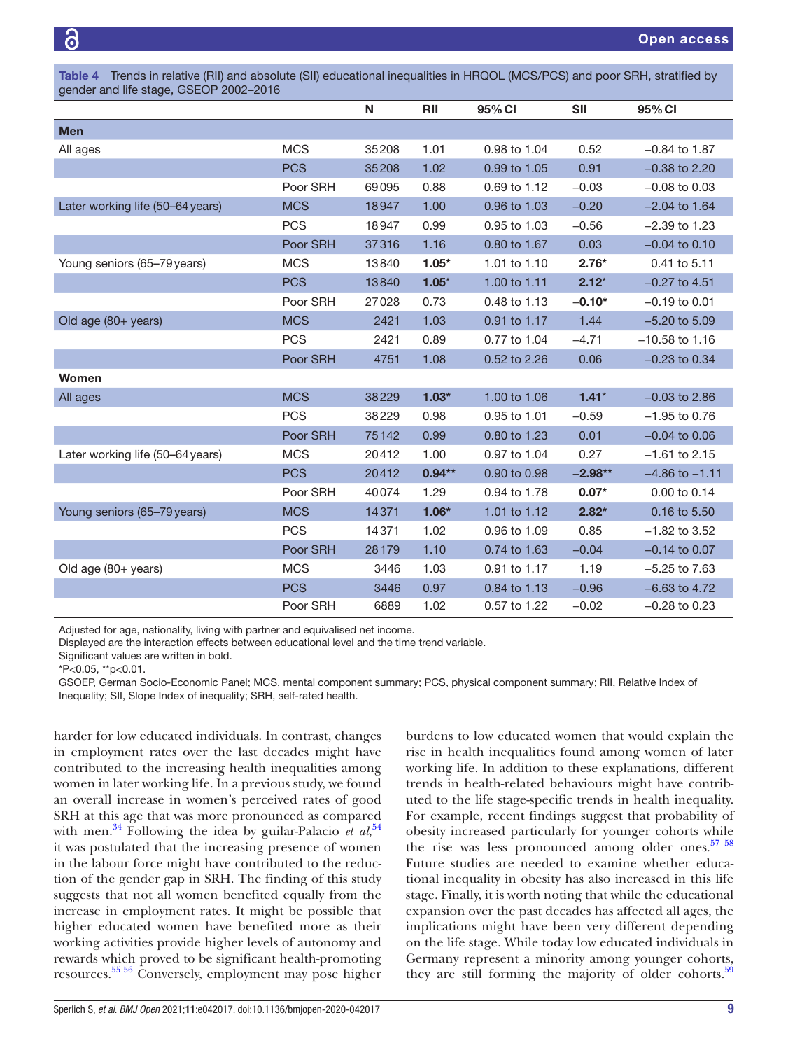Table 4 Trends in relative (RII) and absolute (SII) educational inequalities in HRQOL (MCS/PCS) and poor SRH, stratified by gender and life stage, GSEOP 2002–2016

|                                  |            | N     | <b>RII</b> | 95% CI       | <b>SII</b> | 95% CI             |
|----------------------------------|------------|-------|------------|--------------|------------|--------------------|
| <b>Men</b>                       |            |       |            |              |            |                    |
| All ages                         | <b>MCS</b> | 35208 | 1.01       | 0.98 to 1.04 | 0.52       | $-0.84$ to 1.87    |
|                                  | <b>PCS</b> | 35208 | 1.02       | 0.99 to 1.05 | 0.91       | $-0.38$ to 2.20    |
|                                  | Poor SRH   | 69095 | 0.88       | 0.69 to 1.12 | $-0.03$    | $-0.08$ to $0.03$  |
| Later working life (50-64 years) | <b>MCS</b> | 18947 | 1.00       | 0.96 to 1.03 | $-0.20$    | $-2.04$ to 1.64    |
|                                  | <b>PCS</b> | 18947 | 0.99       | 0.95 to 1.03 | $-0.56$    | $-2.39$ to 1.23    |
|                                  | Poor SRH   | 37316 | 1.16       | 0.80 to 1.67 | 0.03       | $-0.04$ to 0.10    |
| Young seniors (65-79 years)      | <b>MCS</b> | 13840 | $1.05*$    | 1.01 to 1.10 | $2.76*$    | 0.41 to 5.11       |
|                                  | <b>PCS</b> | 13840 | $1.05*$    | 1.00 to 1.11 | $2.12*$    | $-0.27$ to 4.51    |
|                                  | Poor SRH   | 27028 | 0.73       | 0.48 to 1.13 | $-0.10*$   | $-0.19$ to 0.01    |
| Old age (80+ years)              | <b>MCS</b> | 2421  | 1.03       | 0.91 to 1.17 | 1.44       | $-5.20$ to $5.09$  |
|                                  | <b>PCS</b> | 2421  | 0.89       | 0.77 to 1.04 | $-4.71$    | $-10.58$ to 1.16   |
|                                  | Poor SRH   | 4751  | 1.08       | 0.52 to 2.26 | 0.06       | $-0.23$ to $0.34$  |
| Women                            |            |       |            |              |            |                    |
| All ages                         | <b>MCS</b> | 38229 | $1.03*$    | 1.00 to 1.06 | $1.41*$    | $-0.03$ to 2.86    |
|                                  | <b>PCS</b> | 38229 | 0.98       | 0.95 to 1.01 | $-0.59$    | $-1.95$ to 0.76    |
|                                  | Poor SRH   | 75142 | 0.99       | 0.80 to 1.23 | 0.01       | $-0.04$ to 0.06    |
| Later working life (50-64 years) | <b>MCS</b> | 20412 | 1.00       | 0.97 to 1.04 | 0.27       | $-1.61$ to 2.15    |
|                                  | <b>PCS</b> | 20412 | $0.94**$   | 0.90 to 0.98 | $-2.98**$  | $-4.86$ to $-1.11$ |
|                                  | Poor SRH   | 40074 | 1.29       | 0.94 to 1.78 | $0.07*$    | 0.00 to 0.14       |
| Young seniors (65-79 years)      | <b>MCS</b> | 14371 | $1.06*$    | 1.01 to 1.12 | $2.82*$    | 0.16 to 5.50       |
|                                  | <b>PCS</b> | 14371 | 1.02       | 0.96 to 1.09 | 0.85       | $-1.82$ to 3.52    |
|                                  | Poor SRH   | 28179 | 1.10       | 0.74 to 1.63 | $-0.04$    | $-0.14$ to 0.07    |
| Old age (80+ years)              | <b>MCS</b> | 3446  | 1.03       | 0.91 to 1.17 | 1.19       | $-5.25$ to $7.63$  |
|                                  | <b>PCS</b> | 3446  | 0.97       | 0.84 to 1.13 | $-0.96$    | $-6.63$ to 4.72    |
|                                  | Poor SRH   | 6889  | 1.02       | 0.57 to 1.22 | $-0.02$    | $-0.28$ to 0.23    |

Adjusted for age, nationality, living with partner and equivalised net income.

Displayed are the interaction effects between educational level and the time trend variable.

Significant values are written in bold.

\*P<0.05, \*\*p<0.01.

GSOEP, German Socio- Economic Panel; MCS, mental component summary; PCS, physical component summary; RII, Relative Index of Inequality; SII, Slope Index of inequality; SRH, self-rated health.

harder for low educated individuals. In contrast, changes in employment rates over the last decades might have contributed to the increasing health inequalities among women in later working life. In a previous study, we found an overall increase in women's perceived rates of good SRH at this age that was more pronounced as compared with men.<sup>34</sup> Following the idea by guilar-Palacio *et al*,<sup>54</sup> it was postulated that the increasing presence of women in the labour force might have contributed to the reduction of the gender gap in SRH. The finding of this study suggests that not all women benefited equally from the increase in employment rates. It might be possible that higher educated women have benefited more as their working activities provide higher levels of autonomy and rewards which proved to be significant health-promoting resources. 55 56 Conversely, employment may pose higher burdens to low educated women that would explain the rise in health inequalities found among women of later working life. In addition to these explanations, different trends in health-related behaviours might have contributed to the life stage- specific trends in health inequality. For example, recent findings suggest that probability of obesity increased particularly for younger cohorts while the rise was less pronounced among older ones.<sup>57</sup> <sup>58</sup> Future studies are needed to examine whether educational inequality in obesity has also increased in this life stage. Finally, it is worth noting that while the educational expansion over the past decades has affected all ages, the implications might have been very different depending on the life stage. While today low educated individuals in Germany represent a minority among younger cohorts, they are still forming the majority of older cohorts.<sup>59</sup>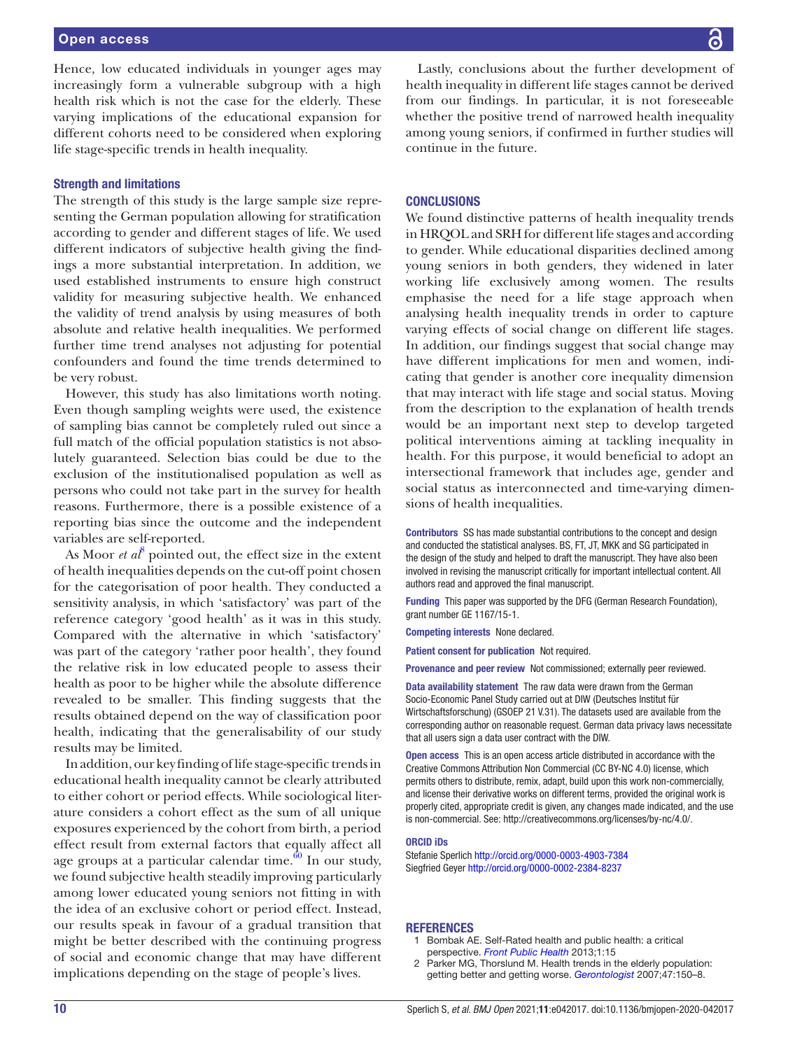Hence, low educated individuals in younger ages may increasingly form a vulnerable subgroup with a high health risk which is not the case for the elderly. These varying implications of the educational expansion for different cohorts need to be considered when exploring life stage- specific trends in health inequality.

#### Strength and limitations

The strength of this study is the large sample size representing the German population allowing for stratification according to gender and different stages of life. We used different indicators of subjective health giving the findings a more substantial interpretation. In addition, we used established instruments to ensure high construct validity for measuring subjective health. We enhanced the validity of trend analysis by using measures of both absolute and relative health inequalities. We performed further time trend analyses not adjusting for potential confounders and found the time trends determined to be very robust.

However, this study has also limitations worth noting. Even though sampling weights were used, the existence of sampling bias cannot be completely ruled out since a full match of the official population statistics is not absolutely guaranteed. Selection bias could be due to the exclusion of the institutionalised population as well as persons who could not take part in the survey for health reasons. Furthermore, there is a possible existence of a reporting bias since the outcome and the independent variables are self-reported.

As Moor *et al*<sup>8</sup> pointed out, the effect size in the extent of health inequalities depends on the cut-off point chosen for the categorisation of poor health. They conducted a sensitivity analysis, in which 'satisfactory' was part of the reference category 'good health' as it was in this study. Compared with the alternative in which 'satisfactory' was part of the category 'rather poor health', they found the relative risk in low educated people to assess their health as poor to be higher while the absolute difference revealed to be smaller. This finding suggests that the results obtained depend on the way of classification poor health, indicating that the generalisability of our study results may be limited.

In addition, our key finding of life stage- specific trends in educational health inequality cannot be clearly attributed to either cohort or period effects. While sociological literature considers a cohort effect as the sum of all unique exposures experienced by the cohort from birth, a period effect result from external factors that equally affect all age groups at a particular calendar time. $\frac{60}{n}$  In our study, we found subjective health steadily improving particularly among lower educated young seniors not fitting in with the idea of an exclusive cohort or period effect. Instead, our results speak in favour of a gradual transition that might be better described with the continuing progress of social and economic change that may have different implications depending on the stage of people's lives.

Lastly, conclusions about the further development of health inequality in different life stages cannot be derived from our findings. In particular, it is not foreseeable whether the positive trend of narrowed health inequality among young seniors, if confirmed in further studies will continue in the future.

#### **CONCLUSIONS**

We found distinctive patterns of health inequality trends in HRQOL and SRH for different life stages and according to gender. While educational disparities declined among young seniors in both genders, they widened in later working life exclusively among women. The results emphasise the need for a life stage approach when analysing health inequality trends in order to capture varying effects of social change on different life stages. In addition, our findings suggest that social change may have different implications for men and women, indicating that gender is another core inequality dimension that may interact with life stage and social status. Moving from the description to the explanation of health trends would be an important next step to develop targeted political interventions aiming at tackling inequality in health. For this purpose, it would beneficial to adopt an intersectional framework that includes age, gender and social status as interconnected and time-varying dimensions of health inequalities.

Contributors SS has made substantial contributions to the concept and design and conducted the statistical analyses. BS, FT, JT, MKK and SG participated in the design of the study and helped to draft the manuscript. They have also been involved in revising the manuscript critically for important intellectual content. All authors read and approved the final manuscript.

Funding This paper was supported by the DFG (German Research Foundation), grant number GE 1167/15-1.

Competing interests None declared.

Patient consent for publication Not required.

Provenance and peer review Not commissioned; externally peer reviewed.

Data availability statement The raw data were drawn from the German Socio- Economic Panel Study carried out at DIW (Deutsches Institut für Wirtschaftsforschung) (GSOEP 21 V.31). The datasets used are available from the corresponding author on reasonable request. German data privacy laws necessitate that all users sign a data user contract with the DIW.

Open access This is an open access article distributed in accordance with the Creative Commons Attribution Non Commercial (CC BY- NC 4.0) license, which permits others to distribute, remix, adapt, build upon this work non-commercially, and license their derivative works on different terms, provided the original work is properly cited, appropriate credit is given, any changes made indicated, and the use is non-commercial. See: http://creativecommons.org/licenses/by-nc/4.0/.

#### ORCID iDs

Stefanie Sperlich http://orcid.org/0000-0003-4903-7384 Siegfried Geyer http://orcid.org/0000-0002-2384-8237

#### REFERENCES

- 1 Bombak AE. Self-Rated health and public health: a critical perspective. Front Public Health 2013;1:15
- 2 Parker MG, Thorslund M. Health trends in the elderly population: getting better and getting worse. Gerontologist 2007;47:150-8.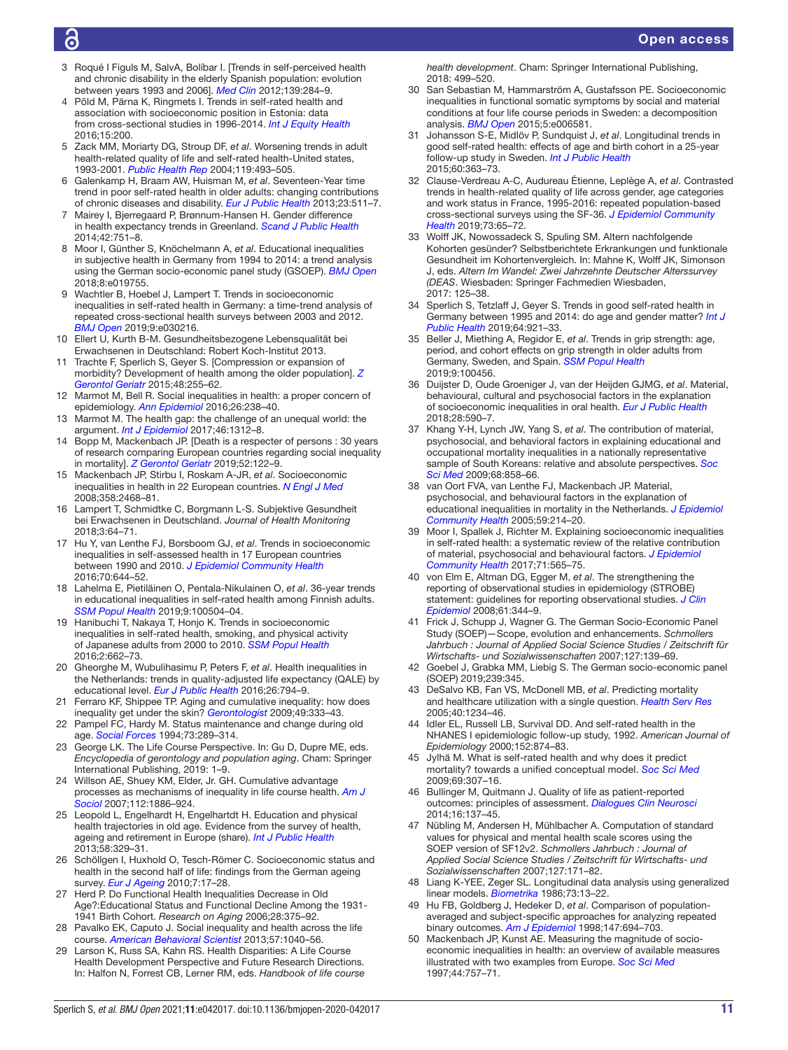# ൳

- 3 Roqué I Figuls M, SalvA, Bolíbar I. [Trends in self- perceived health and chronic disability in the elderly Spanish population: evolution between years 1993 and 2006]. Med Clin 2012;139:284–9.
- 4 Põld M, Pärna K, Ringmets I. Trends in self-rated health and association with socioeconomic position in Estonia: data from cross-sectional studies in 1996-2014. Int J Equity Health 2016;15:200.
- 5 Zack MM, Moriarty DG, Stroup DF, et al. Worsening trends in adult health-related quality of life and self-rated health-United states, 1993-2001. Public Health Rep 2004;119:493-505.
- 6 Galenkamp H, Braam AW, Huisman M, et al. Seventeen- Year time trend in poor self-rated health in older adults: changing contributions of chronic diseases and disability. Eur J Public Health 2013;23:511-7.
- 7 Mairey I, Bjerregaard P, Brønnum- Hansen H. Gender difference in health expectancy trends in Greenland. Scand J Public Health 2014;42:751–8.
- 8 Moor I, Günther S, Knöchelmann A, et al. Educational inequalities in subjective health in Germany from 1994 to 2014: a trend analysis using the German socio-economic panel study (GSOEP). BMJ Open 2018;8:e019755.
- 9 Wachtler B, Hoebel J, Lampert T. Trends in socioeconomic inequalities in self-rated health in Germany: a time-trend analysis of repeated cross- sectional health surveys between 2003 and 2012. BMJ Open 2019;9:e030216.
- 10 Ellert U, Kurth B-M. Gesundheitsbezogene Lebensqualität bei Erwachsenen in Deutschland: Robert Koch- Institut 2013.
- 11 Trachte F, Sperlich S, Geyer S. [Compression or expansion of morbidity? Development of health among the older population]. Z Gerontol Geriatr 2015;48:255–62.
- 12 Marmot M, Bell R. Social inequalities in health: a proper concern of epidemiology. Ann Epidemiol 2016;26:238–40.
- 13 Marmot M. The health gap: the challenge of an unequal world: the argument. Int J Epidemiol 2017;46:1312-8.
- 14 Bopp M, Mackenbach JP. [Death is a respecter of persons : 30 years of research comparing European countries regarding social inequality in mortality]. Z Gerontol Geriatr 2019;52:122-9.
- 15 Mackenbach JP, Stirbu I, Roskam A-JR, et al. Socioeconomic inequalities in health in 22 European countries. N Engl J Med 2008;358:2468–81.
- 16 Lampert T, Schmidtke C, Borgmann L-S. Subjektive Gesundheit bei Erwachsenen in Deutschland. Journal of Health Monitoring 2018;3:64–71.
- 17 Hu Y, van Lenthe FJ, Borsboom GJ, et al. Trends in socioeconomic inequalities in self-assessed health in 17 European countries between 1990 and 2010. J Epidemiol Community Health 2016;70:644–52.
- 18 Lahelma E, Pietiläinen O, Pentala-Nikulainen O, et al. 36-year trends in educational inequalities in self-rated health among Finnish adults. SM Popul Health 2019;9:100504-04.
- 19 Hanibuchi T, Nakaya T, Honjo K. Trends in socioeconomic inequalities in self-rated health, smoking, and physical activity of Japanese adults from 2000 to 2010. SSM Popul Health 2016;2:662–73.
- 20 Gheorghe M, Wubulihasimu P, Peters F, et al. Health inequalities in the Netherlands: trends in quality- adjusted life expectancy (QALE) by educational level. Eur J Public Health 2016;26:794-9.
- 21 Ferraro KF, Shippee TP. Aging and cumulative inequality: how does inequality get under the skin? Gerontologist 2009;49:333-43.
- 22 Pampel FC, Hardy M. Status maintenance and change during old age. Social Forces 1994;73:289–314.
- 23 George LK. The Life Course Perspective. In: Gu D, Dupre ME, eds. Encyclopedia of gerontology and population aging. Cham: Springer International Publishing, 2019: 1–9.
- 24 Willson AE, Shuey KM, Elder, Jr. GH. Cumulative advantage processes as mechanisms of inequality in life course health. Am J Sociol 2007;112:1886-924.
- 25 Leopold L, Engelhardt H, Engelhartdt H. Education and physical health trajectories in old age. Evidence from the survey of health, ageing and retirement in Europe (share). Int J Public Health 2013;58:329–31.
- 26 Schöllgen I, Huxhold O, Tesch- Römer C. Socioeconomic status and health in the second half of life: findings from the German ageing survey. Eur J Ageing 2010;7:17-28.
- 27 Herd P. Do Functional Health Inequalities Decrease in Old Age?:Educational Status and Functional Decline Among the 1931- 1941 Birth Cohort. Research on Aging 2006;28:375–92.
- 28 Pavalko EK, Caputo J. Social inequality and health across the life course. American Behavioral Scientist 2013;57:1040–56.
- 29 Larson K, Russ SA, Kahn RS. Health Disparities: A Life Course Health Development Perspective and Future Research Directions. In: Halfon N, Forrest CB, Lerner RM, eds. Handbook of life course

health development. Cham: Springer International Publishing, 2018: 499–520.

- 30 San Sebastian M, Hammarström A, Gustafsson PE. Socioeconomic inequalities in functional somatic symptoms by social and material conditions at four life course periods in Sweden: a decomposition analysis. BMJ Open 2015;5:e006581.
- 31 Johansson S-E, Midlöv P, Sundquist J, et al. Longitudinal trends in good self- rated health: effects of age and birth cohort in a 25- year follow-up study in Sweden. Int J Public Health 2015;60:363–73.
- 32 Clause-Verdreau A-C, Audureau Étienne, Leplège A, et al. Contrasted trends in health- related quality of life across gender, age categories and work status in France, 1995-2016: repeated population-based cross-sectional surveys using the SF-36. J Epidemiol Community Health 2019;73:65–72.
- 33 Wolff JK, Nowossadeck S, Spuling SM. Altern nachfolgende Kohorten gesünder? Selbstberichtete Erkrankungen und funktionale Gesundheit im Kohortenvergleich. In: Mahne K, Wolff JK, Simonson J, eds. Altern Im Wandel: Zwei Jahrzehnte Deutscher Alterssurvey (DEAS. Wiesbaden: Springer Fachmedien Wiesbaden, 2017: 125–38.
- 34 Sperlich S, Tetzlaff J, Geyer S. Trends in good self-rated health in Germany between 1995 and 2014: do age and gender matter? Int J Public Health 2019;64:921–33.
- 35 Beller J, Miething A, Regidor E, et al. Trends in grip strength: age, period, and cohort effects on grip strength in older adults from Germany, Sweden, and Spain. SSM Popul Health 2019;9:100456.
- 36 Duijster D, Oude Groeniger J, van der Heijden GJMG, et al. Material, behavioural, cultural and psychosocial factors in the explanation of socioeconomic inequalities in oral health. Eur J Public Health 2018;28:590–7.
- 37 Khang Y-H, Lynch JW, Yang S, et al. The contribution of material, psychosocial, and behavioral factors in explaining educational and occupational mortality inequalities in a nationally representative sample of South Koreans: relative and absolute perspectives. Soc Sci Med 2009;68:858–66.
- 38 van Oort FVA, van Lenthe FJ, Mackenbach JP. Material, psychosocial, and behavioural factors in the explanation of educational inequalities in mortality in the Netherlands. J Epidemiol Community Health 2005;59:214–20.
- 39 Moor I, Spallek J, Richter M. Explaining socioeconomic inequalities in self-rated health: a systematic review of the relative contribution of material, psychosocial and behavioural factors. J Epidemiol Community Health 2017;71:565–75.
- 40 von Elm E, Altman DG, Egger M, et al. The strengthening the reporting of observational studies in epidemiology (STROBE) statement: guidelines for reporting observational studies. J Clin Epidemiol 2008;61:344–9.
- 41 Frick J, Schupp J, Wagner G. The German Socio-Economic Panel Study (SOEP)—Scope, evolution and enhancements. Schmollers Jahrbuch : Journal of Applied Social Science Studies / Zeitschrift für Wirtschafts- und Sozialwissenschaften 2007;127:139–69.
- 42 Goebel J, Grabka MM, Liebig S. The German socio-economic panel (SOEP) 2019;239:345.
- 43 DeSalvo KB, Fan VS, McDonell MB, et al. Predicting mortality and healthcare utilization with a single question. Health Serv Res 2005;40:1234–46.
- 44 Idler EL, Russell LB, Survival DD. And self-rated health in the NHANES I epidemiologic follow-up study, 1992. American Journal of Epidemiology 2000;152:874–83.
- 45 Jylhä M. What is self- rated health and why does it predict mortality? towards a unified conceptual model. Soc Sci Med 2009;69:307–16.
- 46 Bullinger M, Quitmann J. Quality of life as patient- reported outcomes: principles of assessment. Dialogues Clin Neurosci 2014;16:137–45.
- 47 Nübling M, Andersen H, Mühlbacher A. Computation of standard values for physical and mental health scale scores using the SOEP version of SF12v2. Schmollers Jahrbuch : Journal of Applied Social Science Studies / Zeitschrift für Wirtschafts- und Sozialwissenschaften 2007;127:171–82.
- 48 Liang K- YEE, Zeger SL. Longitudinal data analysis using generalized linear models. Biometrika 1986;73:13-22.
- 49 Hu FB, Goldberg J, Hedeker D, et al. Comparison of populationaveraged and subject- specific approaches for analyzing repeated binary outcomes. Am J Epidemiol 1998;147:694-703.
- 50 Mackenbach JP, Kunst AE. Measuring the magnitude of socioeconomic inequalities in health: an overview of available measures illustrated with two examples from Europe. Soc Sci Med 1997;44:757–71.